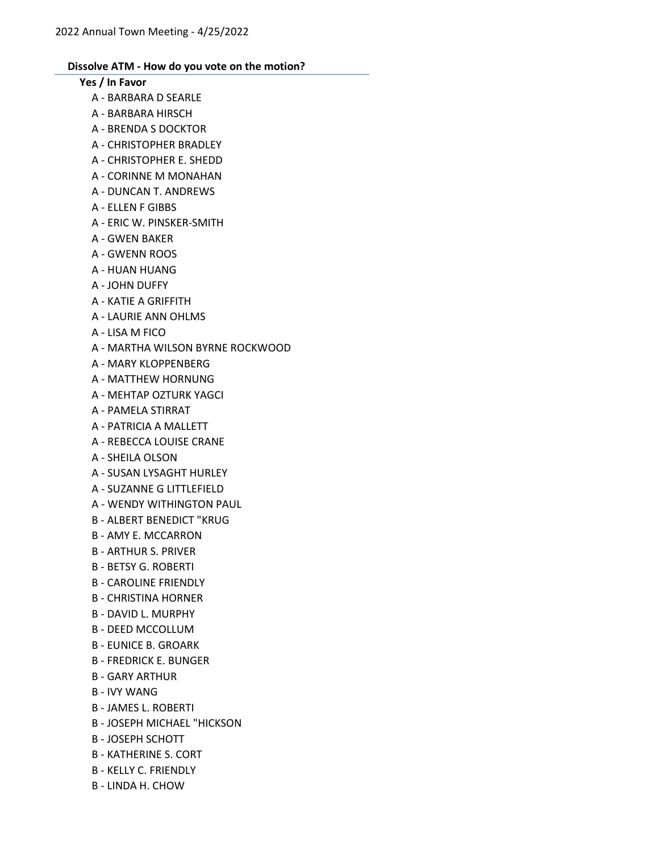# Yes / In Favor

- A BARBARA D SEARLE
- A BARBARA HIRSCH
- A BRENDA S DOCKTOR
- A CHRISTOPHER BRADLEY
- A CHRISTOPHER E. SHEDD
- A CORINNE M MONAHAN
- A DUNCAN T. ANDREWS
- A ELLEN F GIBBS
- A ERIC W. PINSKER-SMITH
- A GWEN BAKER
- A GWENN ROOS
- A HUAN HUANG
- A JOHN DUFFY
- A KATIE A GRIFFITH
- A LAURIE ANN OHLMS
- A LISA M FICO
- A MARTHA WILSON BYRNE ROCKWOOD
- A MARY KLOPPENBERG
- A MATTHEW HORNUNG
- A MEHTAP OZTURK YAGCI
- A PAMELA STIRRAT
- A PATRICIA A MALLETT
- A REBECCA LOUISE CRANE
- A SHEILA OLSON
- A SUSAN LYSAGHT HURLEY
- A SUZANNE G LITTLEFIELD
- A WENDY WITHINGTON PAUL
- B ALBERT BENEDICT "KRUG
- B AMY E. MCCARRON
- B ARTHUR S. PRIVER
- B BETSY G. ROBERTI
- B CAROLINE FRIENDLY
- B CHRISTINA HORNER
- B DAVID L. MURPHY
- B DEED MCCOLLUM
- B EUNICE B. GROARK
- B FREDRICK E. BUNGER
- B GARY ARTHUR
- B IVY WANG
- B JAMES L. ROBERTI
- B JOSEPH MICHAEL "HICKSON
- B JOSEPH SCHOTT
- B KATHERINE S. CORT
- B KELLY C. FRIENDLY
- B LINDA H. CHOW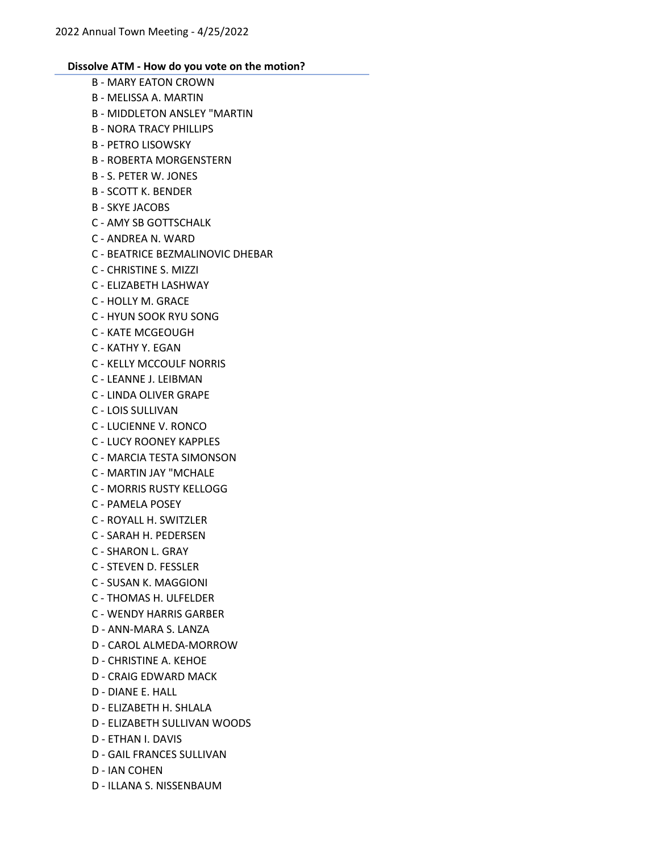- B MARY EATON CROWN B - MELISSA A. MARTIN B - MIDDLETON ANSLEY "MARTIN B - NORA TRACY PHILLIPS B - PETRO LISOWSKY B - ROBERTA MORGENSTERN B - S. PETER W. JONES B - SCOTT K. BENDER B - SKYE JACOBS C - AMY SB GOTTSCHALK C - ANDREA N. WARD C - BEATRICE BEZMALINOVIC DHEBAR C - CHRISTINE S. MIZZI C - ELIZABETH LASHWAY C - HOLLY M. GRACE C - HYUN SOOK RYU SONG C - KATE MCGEOUGH C - KATHY Y. EGAN C - KELLY MCCOULF NORRIS C - LEANNE J. LEIBMAN C - LINDA OLIVER GRAPE C - LOIS SULLIVAN C - LUCIENNE V. RONCO C - LUCY ROONEY KAPPLES C - MARCIA TESTA SIMONSON C - MARTIN JAY "MCHALE C - MORRIS RUSTY KELLOGG C - PAMELA POSEY C - ROYALL H. SWITZLER C - SARAH H. PEDERSEN C - SHARON L. GRAY C - STEVEN D. FESSLER C - SUSAN K. MAGGIONI C - THOMAS H. ULFELDER C - WENDY HARRIS GARBER D - ANN-MARA S. LANZA D - CAROL ALMEDA-MORROW D - CHRISTINE A. KEHOE D - CRAIG EDWARD MACK D - DIANE E. HALL D - ELIZABETH H. SHLALA D - ELIZABETH SULLIVAN WOODS D - ETHAN I. DAVIS D - GAIL FRANCES SULLIVAN
- D IAN COHEN
- D ILLANA S. NISSENBAUM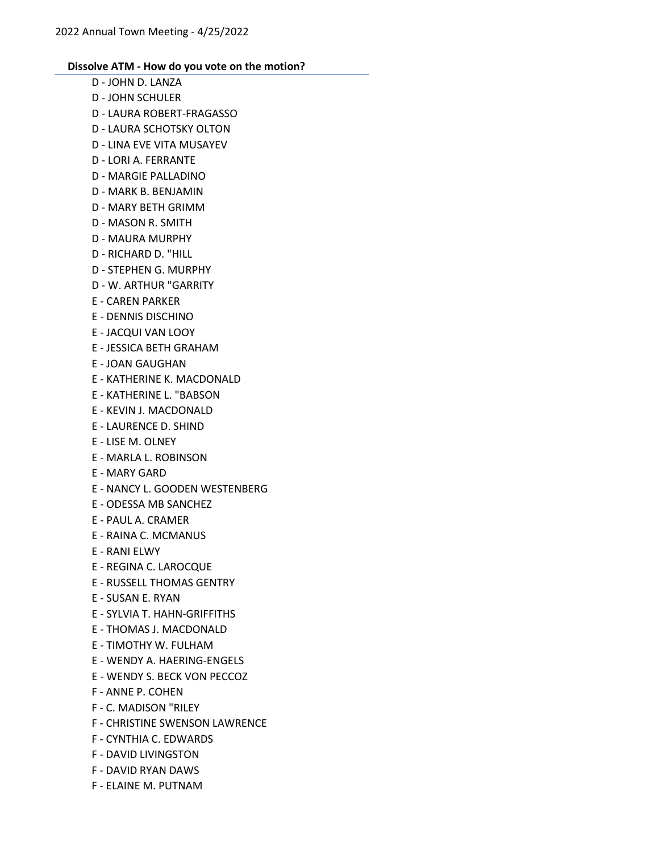- D JOHN D. LANZA D - JOHN SCHULER D - LAURA ROBERT-FRAGASSO D - LAURA SCHOTSKY OLTON D - LINA EVE VITA MUSAYEV D - LORI A. FERRANTE D - MARGIE PALLADINO D - MARK B. BENJAMIN D - MARY BETH GRIMM D - MASON R. SMITH D - MAURA MURPHY D - RICHARD D. "HILL D - STEPHEN G. MURPHY D - W. ARTHUR "GARRITY E - CAREN PARKER E - DENNIS DISCHINO E - JACQUI VAN LOOY E - JESSICA BETH GRAHAM E - JOAN GAUGHAN E - KATHERINE K. MACDONALD E - KATHERINE L. "BABSON E - KEVIN J. MACDONALD E - LAURENCE D. SHIND E - LISE M. OLNEY E - MARLA L. ROBINSON E - MARY GARD E - NANCY L. GOODEN WESTENBERG E - ODESSA MB SANCHEZ E - PAUL A. CRAMER E - RAINA C. MCMANUS E - RANI ELWY E - REGINA C. LAROCQUE E - RUSSELL THOMAS GENTRY E - SUSAN E. RYAN E - SYLVIA T. HAHN-GRIFFITHS E - THOMAS J. MACDONALD E - TIMOTHY W. FULHAM E - WENDY A. HAERING-ENGELS E - WENDY S. BECK VON PECCOZ F - ANNE P. COHEN F - C. MADISON "RILEY F - CHRISTINE SWENSON LAWRENCE F - CYNTHIA C. EDWARDS F - DAVID LIVINGSTON
	- F DAVID RYAN DAWS
	- F ELAINE M. PUTNAM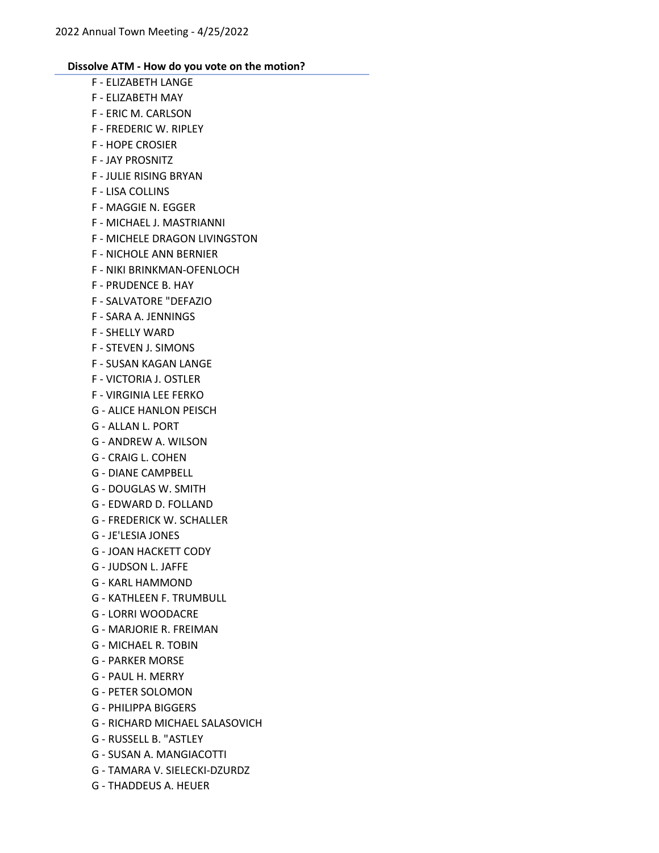- F ELIZABETH LANGE F - ELIZABETH MAY F - ERIC M. CARLSON F - FREDERIC W. RIPLEY F - HOPE CROSIER F - JAY PROSNITZ F - JULIE RISING BRYAN F - LISA COLLINS F - MAGGIE N. EGGER F - MICHAEL J. MASTRIANNI F - MICHELE DRAGON LIVINGSTON F - NICHOLE ANN BERNIER F - NIKI BRINKMAN-OFENLOCH F - PRUDENCE B. HAY F - SALVATORE "DEFAZIO F - SARA A. JENNINGS F - SHELLY WARD F - STEVEN J. SIMONS F - SUSAN KAGAN LANGE F - VICTORIA J. OSTLER F - VIRGINIA LEE FERKO G - ALICE HANLON PEISCH G - ALLAN L. PORT G - ANDREW A. WILSON G - CRAIG L. COHEN G - DIANE CAMPBELL G - DOUGLAS W. SMITH G - EDWARD D. FOLLAND G - FREDERICK W. SCHALLER G - JE'LESIA JONES G - JOAN HACKETT CODY G - JUDSON L. JAFFE G - KARL HAMMOND G - KATHLEEN F. TRUMBULL G - LORRI WOODACRE G - MARJORIE R. FREIMAN G - MICHAEL R. TOBIN G - PARKER MORSE G - PAUL H. MERRY G - PETER SOLOMON
- G PHILIPPA BIGGERS
- G RICHARD MICHAEL SALASOVICH
- G RUSSELL B. "ASTLEY
- G SUSAN A. MANGIACOTTI
- G TAMARA V. SIELECKI-DZURDZ
- G THADDEUS A. HEUER